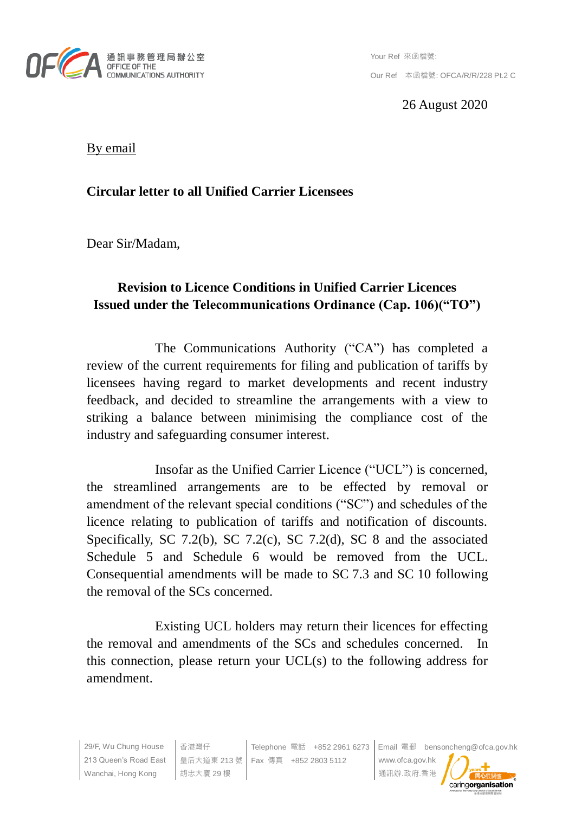

26 August 2020

By email

## **Circular letter to all Unified Carrier Licensees**

Dear Sir/Madam,

## **Revision to Licence Conditions in Unified Carrier Licences Issued under the Telecommunications Ordinance (Cap. 106)("TO")**

The Communications Authority ("CA") has completed a review of the current requirements for filing and publication of tariffs by licensees having regard to market developments and recent industry feedback, and decided to streamline the arrangements with a view to striking a balance between minimising the compliance cost of the industry and safeguarding consumer interest.

Insofar as the Unified Carrier Licence ("UCL") is concerned, the streamlined arrangements are to be effected by removal or amendment of the relevant special conditions ("SC") and schedules of the licence relating to publication of tariffs and notification of discounts. Specifically, SC 7.2(b), SC 7.2(c), SC 7.2(d), SC 8 and the associated Schedule 5 and Schedule 6 would be removed from the UCL. Consequential amendments will be made to SC 7.3 and SC 10 following the removal of the SCs concerned.

Existing UCL holders may return their licences for effecting the removal and amendments of the SCs and schedules concerned. In this connection, please return your UCL(s) to the following address for amendment.